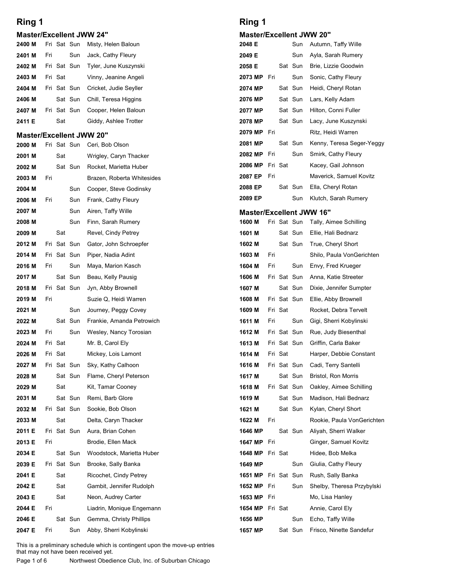|                                 | Ring 1 |         |                        |                                                  | Ring 1                                      |  |
|---------------------------------|--------|---------|------------------------|--------------------------------------------------|---------------------------------------------|--|
| <b>Master/Excellent JWW 24"</b> |        |         |                        |                                                  | <b>Master/Excellent JW</b>                  |  |
| 2400 M<br>2401 M                | Fri    |         | Fri Sat Sun<br>Sun     | Misty, Helen Baloun<br>Jack, Cathy Fleury        | 2048 E<br>Sun<br>2049 E<br>Sun              |  |
| 2402 M                          |        |         | Fri Sat Sun            | Tyler, June Kuszynski                            | 2058 E<br>Sat Sun                           |  |
| 2403 M                          |        | Fri Sat |                        | Vinny, Jeanine Angeli                            | Sun<br>2073 MP Fri                          |  |
| 2404 M                          |        |         | Fri Sat Sun            | Cricket, Judie Seyller                           | Sat Sun<br>2074 MP                          |  |
| 2406 M                          |        |         | Sat Sun                | Chill, Teresa Higgins                            | 2076 MP<br>Sat Sun                          |  |
| 2407 M                          |        |         | Fri Sat Sun            | Cooper, Helen Baloun                             | 2077 MP<br>Sat Sun                          |  |
| 2411 E                          |        | Sat     |                        | Giddy, Ashlee Trotter                            | 2078 MP<br>Sat Sun                          |  |
| <b>Master/Excellent JWW 20"</b> |        |         |                        |                                                  | Fri<br>2079 MP                              |  |
| 2000 M                          |        |         | Fri Sat Sun            | Ceri, Bob Olson                                  | Sat Sun<br>2081 MP<br>Sun<br>2082 MP<br>Fri |  |
| 2001 M                          |        | Sat     | Sat Sun                | Wrigley, Caryn Thacker<br>Rocket. Marietta Huber | Fri Sat<br>2086 MP                          |  |
| 2002 M<br>2003 M                | Fri    |         |                        | Brazen, Roberta Whitesides                       | Fri<br>2087 EP                              |  |
| 2004 M                          |        |         | Sun                    | Cooper, Steve Godinsky                           | Sat Sun<br>2088 EP                          |  |
| 2006 M                          | Fri    |         | Sun                    | Frank, Cathy Fleury                              | Sun<br>2089 EP                              |  |
| 2007 M                          |        |         | Sun                    | Airen, Taffy Wille                               | <b>Master/Excellent JW</b>                  |  |
| 2008 M                          |        |         | Sun                    | Finn, Sarah Rumery                               | Fri Sat Sun<br>1600 M                       |  |
| 2009 M                          |        | Sat     |                        | Revel, Cindy Petrey                              | Sat Sun<br>1601 M                           |  |
| 2012 M                          |        |         | Fri Sat Sun            | Gator, John Schroepfer                           | 1602 M<br>Sat Sun                           |  |
| 2014 M                          |        |         | Fri Sat Sun            | Piper, Nadia Adint                               | 1603 M<br>Fri                               |  |
| 2016 M                          | Fri    |         | Sun                    | Maya, Marion Kasch                               | 1604 M<br>Fri<br>Sun                        |  |
| 2017 M<br>2018 M                |        |         | Sat Sun<br>Fri Sat Sun | Beau, Kelly Pausig<br>Jyn, Abby Brownell         | 1606 M<br>Fri Sat Sun<br>1607 M<br>Sat Sun  |  |
| 2019 M                          | Fri    |         |                        | Suzie Q, Heidi Warren                            | 1608 M<br>Fri Sat Sun                       |  |
| 2021 M                          |        |         | Sun                    | Journey, Peggy Covey                             | Fri Sat<br>1609 M                           |  |
| 2022 M                          |        |         | Sat Sun                | Frankie, Amanda Petrowich                        | Sun<br>1611 M<br>Fri                        |  |
| 2023 M                          | Fri    |         | Sun                    | Wesley, Nancy Torosian                           | Fri Sat Sun<br>1612 M                       |  |
| 2024 M                          |        | Fri Sat |                        | Mr. B, Carol Ely                                 | Fri Sat Sun<br>1613 M                       |  |
| 2026 M                          |        | Fri Sat |                        | Mickey, Lois Lamont                              | Fri Sat<br>1614 M                           |  |
| 2027 M                          |        |         | Fri Sat Sun            | Sky, Kathy Calhoon                               | 1616 M<br>Fri Sat Sun                       |  |
| 2028 M                          |        |         | Sat Sun                | Flame, Cheryl Peterson                           | Sat Sun<br>1617 M                           |  |
| 2029 M                          |        | Sat     |                        | Kit, Tamar Cooney                                | Fri Sat Sun<br>1618 M                       |  |
| 2031 M                          |        |         | Sat Sun                | Remi, Barb Glore                                 | 1619 M<br>Sat Sun                           |  |
| 2032 M<br>2033 M                |        | Sat     | Fri Sat Sun            | Sookie, Bob Olson<br>Delta, Caryn Thacker        | 1621 M<br>Sat Sun<br>1622 M<br>Fri          |  |
| 2011 E                          |        |         | Fri Sat Sun            | Aura, Brian Cohen                                | 1646 MP<br>Sat Sun                          |  |
| 2013 E                          | Fri    |         |                        | Brodie, Ellen Mack                               | Fri<br>1647 MP                              |  |
| 2034 E                          |        |         | Sat Sun                | Woodstock, Marietta Huber                        | 1648 MP Fri Sat                             |  |
| 2039 E                          |        |         | Fri Sat Sun            | Brooke, Sally Banka                              | 1649 MP<br>Sun                              |  |
| 2041 E                          |        | Sat     |                        | Ricochet, Cindy Petrey                           | Fri Sat Sun<br>1651 MP                      |  |
| 2042 E                          |        | Sat     |                        | Gambit, Jennifer Rudolph                         | Fri<br>Sun<br>1652 MP                       |  |
| 2043 E                          |        | Sat     |                        | Neon, Audrey Carter                              | 1653 MP<br>Fri                              |  |
| 2044 E                          | Fri    |         |                        | Liadrin, Monique Engemann                        | 1654 MP<br>Fri Sat                          |  |
| 2046 E                          |        |         | Sat Sun                | Gemma, Christy Phillips                          | Sun<br>1656 MP                              |  |

# Ring 1

#### Master/Excellent JWW 20"

| Ring 1<br><b>Master/Excellent JWW 20"</b><br>2048 E<br>Sun<br>Autumn, Taffy Wille<br>2049 E<br>Sun<br>Ayla, Sarah Rumery<br>Sat Sun<br>2058 E<br>Brie, Lizzie Goodwin<br>2073 MP<br>Sun<br>Fri<br>Sonic, Cathy Fleury<br>2074 MP<br>Sat Sun<br>Heidi, Cheryl Rotan<br>Sat Sun<br>2076 MP<br>Lars, Kelly Adam<br>Sat Sun<br>Hilton, Conni Fuller<br>2077 MP<br>Sat Sun<br>2078 MP<br>Lacy, June Kuszynski<br>Ritz, Heidi Warren<br>2079 MP<br>Fri<br>Sat Sun<br>Kenny, Teresa Seger-Yeggy<br>2081 MP<br>Sun<br>Fri<br>Smirk, Cathy Fleury<br>2082 MP<br>Fri Sat<br>2086 MP<br>Kacey, Gail Johnson<br>Maverick, Samuel Kovitz<br>2087 EP<br>Fri<br>Sat Sun<br>Ella, Cheryl Rotan<br>2088 EP<br>Sun<br>Klutch, Sarah Rumery<br>2089 EP<br><b>Master/Excellent JWW 16"</b><br>Fri Sat Sun<br>1600 M<br>Tally, Aimee Schilling<br>Sat Sun<br>Ellie, Hali Bednarz<br>1601 M<br>Sat Sun<br>1602 M<br>True, Cheryl Short<br>1603 M<br>Fri<br>Shilo, Paula VonGerichten<br>1604 M<br>Fri<br>Sun<br>Envy, Fred Krueger<br>1606 M<br>Fri Sat Sun<br>Anna, Katie Streeter<br>Sat Sun<br>1607 M<br>Dixie, Jennifer Sumpter<br>1608 M<br>Fri Sat Sun<br>Ellie, Abby Brownell<br>1609 M<br>Fri Sat<br>Rocket, Debra Tervelt<br>Sun<br>1611 M<br>Fri<br>Gigi, Sherri Kobylinski<br>Fri Sat Sun<br>Rue, Judy Biesenthal<br>1612 M<br>1613 M<br>Fri Sat Sun<br>Griffin, Carla Baker<br>1614 M<br>Fri Sat<br>Harper, Debbie Constant<br>1616 M<br>Fri Sat Sun<br>Cadi, Terry Santelli<br>Sat Sun<br>Bristol, Ron Morris<br>1617 M<br>Fri Sat Sun<br>1618 M<br>Oakley, Aimee Schilling<br>Sat Sun<br>1619 M<br>Madison, Hali Bednarz<br>Sat Sun<br>1621 M<br>Kylan, Cheryl Short<br>1622 M<br>Fri<br>Rookie, Paula VonGerichten<br>Sat Sun<br>1646 MP<br>Aliyah, Sherri Walker<br>1647 MP<br>Fri<br>Ginger, Samuel Kovitz<br>1648 MP<br>Fri Sat<br>Hidee, Bob Melka<br>1649 MP<br>Sun<br>Giulia, Cathy Fleury<br>Fri Sat Sun<br>Rush, Sally Banka<br>1651 MP<br>1652 MP<br>Fri<br>Sun<br>Shelby, Theresa Przybylski<br>1653 MP<br>Fri<br>Mo, Lisa Hanley<br>1654 MP<br>Fri Sat<br>Annie, Carol Ely<br>1656 MP<br>Sun<br>Echo, Taffy Wille<br>Sat Sun<br>1657 MP<br>Frisco, Ninette Sandefur |  |  |  |  |  |  |  |  |  |  |  |  |  |
|-------------------------------------------------------------------------------------------------------------------------------------------------------------------------------------------------------------------------------------------------------------------------------------------------------------------------------------------------------------------------------------------------------------------------------------------------------------------------------------------------------------------------------------------------------------------------------------------------------------------------------------------------------------------------------------------------------------------------------------------------------------------------------------------------------------------------------------------------------------------------------------------------------------------------------------------------------------------------------------------------------------------------------------------------------------------------------------------------------------------------------------------------------------------------------------------------------------------------------------------------------------------------------------------------------------------------------------------------------------------------------------------------------------------------------------------------------------------------------------------------------------------------------------------------------------------------------------------------------------------------------------------------------------------------------------------------------------------------------------------------------------------------------------------------------------------------------------------------------------------------------------------------------------------------------------------------------------------------------------------------------------------------------------------------------------------------------------------------------------------------------------------------------------------------|--|--|--|--|--|--|--|--|--|--|--|--|--|
|                                                                                                                                                                                                                                                                                                                                                                                                                                                                                                                                                                                                                                                                                                                                                                                                                                                                                                                                                                                                                                                                                                                                                                                                                                                                                                                                                                                                                                                                                                                                                                                                                                                                                                                                                                                                                                                                                                                                                                                                                                                                                                                                                                         |  |  |  |  |  |  |  |  |  |  |  |  |  |
|                                                                                                                                                                                                                                                                                                                                                                                                                                                                                                                                                                                                                                                                                                                                                                                                                                                                                                                                                                                                                                                                                                                                                                                                                                                                                                                                                                                                                                                                                                                                                                                                                                                                                                                                                                                                                                                                                                                                                                                                                                                                                                                                                                         |  |  |  |  |  |  |  |  |  |  |  |  |  |
|                                                                                                                                                                                                                                                                                                                                                                                                                                                                                                                                                                                                                                                                                                                                                                                                                                                                                                                                                                                                                                                                                                                                                                                                                                                                                                                                                                                                                                                                                                                                                                                                                                                                                                                                                                                                                                                                                                                                                                                                                                                                                                                                                                         |  |  |  |  |  |  |  |  |  |  |  |  |  |
|                                                                                                                                                                                                                                                                                                                                                                                                                                                                                                                                                                                                                                                                                                                                                                                                                                                                                                                                                                                                                                                                                                                                                                                                                                                                                                                                                                                                                                                                                                                                                                                                                                                                                                                                                                                                                                                                                                                                                                                                                                                                                                                                                                         |  |  |  |  |  |  |  |  |  |  |  |  |  |
|                                                                                                                                                                                                                                                                                                                                                                                                                                                                                                                                                                                                                                                                                                                                                                                                                                                                                                                                                                                                                                                                                                                                                                                                                                                                                                                                                                                                                                                                                                                                                                                                                                                                                                                                                                                                                                                                                                                                                                                                                                                                                                                                                                         |  |  |  |  |  |  |  |  |  |  |  |  |  |
|                                                                                                                                                                                                                                                                                                                                                                                                                                                                                                                                                                                                                                                                                                                                                                                                                                                                                                                                                                                                                                                                                                                                                                                                                                                                                                                                                                                                                                                                                                                                                                                                                                                                                                                                                                                                                                                                                                                                                                                                                                                                                                                                                                         |  |  |  |  |  |  |  |  |  |  |  |  |  |
|                                                                                                                                                                                                                                                                                                                                                                                                                                                                                                                                                                                                                                                                                                                                                                                                                                                                                                                                                                                                                                                                                                                                                                                                                                                                                                                                                                                                                                                                                                                                                                                                                                                                                                                                                                                                                                                                                                                                                                                                                                                                                                                                                                         |  |  |  |  |  |  |  |  |  |  |  |  |  |
|                                                                                                                                                                                                                                                                                                                                                                                                                                                                                                                                                                                                                                                                                                                                                                                                                                                                                                                                                                                                                                                                                                                                                                                                                                                                                                                                                                                                                                                                                                                                                                                                                                                                                                                                                                                                                                                                                                                                                                                                                                                                                                                                                                         |  |  |  |  |  |  |  |  |  |  |  |  |  |
|                                                                                                                                                                                                                                                                                                                                                                                                                                                                                                                                                                                                                                                                                                                                                                                                                                                                                                                                                                                                                                                                                                                                                                                                                                                                                                                                                                                                                                                                                                                                                                                                                                                                                                                                                                                                                                                                                                                                                                                                                                                                                                                                                                         |  |  |  |  |  |  |  |  |  |  |  |  |  |
|                                                                                                                                                                                                                                                                                                                                                                                                                                                                                                                                                                                                                                                                                                                                                                                                                                                                                                                                                                                                                                                                                                                                                                                                                                                                                                                                                                                                                                                                                                                                                                                                                                                                                                                                                                                                                                                                                                                                                                                                                                                                                                                                                                         |  |  |  |  |  |  |  |  |  |  |  |  |  |
|                                                                                                                                                                                                                                                                                                                                                                                                                                                                                                                                                                                                                                                                                                                                                                                                                                                                                                                                                                                                                                                                                                                                                                                                                                                                                                                                                                                                                                                                                                                                                                                                                                                                                                                                                                                                                                                                                                                                                                                                                                                                                                                                                                         |  |  |  |  |  |  |  |  |  |  |  |  |  |
|                                                                                                                                                                                                                                                                                                                                                                                                                                                                                                                                                                                                                                                                                                                                                                                                                                                                                                                                                                                                                                                                                                                                                                                                                                                                                                                                                                                                                                                                                                                                                                                                                                                                                                                                                                                                                                                                                                                                                                                                                                                                                                                                                                         |  |  |  |  |  |  |  |  |  |  |  |  |  |
|                                                                                                                                                                                                                                                                                                                                                                                                                                                                                                                                                                                                                                                                                                                                                                                                                                                                                                                                                                                                                                                                                                                                                                                                                                                                                                                                                                                                                                                                                                                                                                                                                                                                                                                                                                                                                                                                                                                                                                                                                                                                                                                                                                         |  |  |  |  |  |  |  |  |  |  |  |  |  |
|                                                                                                                                                                                                                                                                                                                                                                                                                                                                                                                                                                                                                                                                                                                                                                                                                                                                                                                                                                                                                                                                                                                                                                                                                                                                                                                                                                                                                                                                                                                                                                                                                                                                                                                                                                                                                                                                                                                                                                                                                                                                                                                                                                         |  |  |  |  |  |  |  |  |  |  |  |  |  |
|                                                                                                                                                                                                                                                                                                                                                                                                                                                                                                                                                                                                                                                                                                                                                                                                                                                                                                                                                                                                                                                                                                                                                                                                                                                                                                                                                                                                                                                                                                                                                                                                                                                                                                                                                                                                                                                                                                                                                                                                                                                                                                                                                                         |  |  |  |  |  |  |  |  |  |  |  |  |  |
|                                                                                                                                                                                                                                                                                                                                                                                                                                                                                                                                                                                                                                                                                                                                                                                                                                                                                                                                                                                                                                                                                                                                                                                                                                                                                                                                                                                                                                                                                                                                                                                                                                                                                                                                                                                                                                                                                                                                                                                                                                                                                                                                                                         |  |  |  |  |  |  |  |  |  |  |  |  |  |
|                                                                                                                                                                                                                                                                                                                                                                                                                                                                                                                                                                                                                                                                                                                                                                                                                                                                                                                                                                                                                                                                                                                                                                                                                                                                                                                                                                                                                                                                                                                                                                                                                                                                                                                                                                                                                                                                                                                                                                                                                                                                                                                                                                         |  |  |  |  |  |  |  |  |  |  |  |  |  |
|                                                                                                                                                                                                                                                                                                                                                                                                                                                                                                                                                                                                                                                                                                                                                                                                                                                                                                                                                                                                                                                                                                                                                                                                                                                                                                                                                                                                                                                                                                                                                                                                                                                                                                                                                                                                                                                                                                                                                                                                                                                                                                                                                                         |  |  |  |  |  |  |  |  |  |  |  |  |  |
|                                                                                                                                                                                                                                                                                                                                                                                                                                                                                                                                                                                                                                                                                                                                                                                                                                                                                                                                                                                                                                                                                                                                                                                                                                                                                                                                                                                                                                                                                                                                                                                                                                                                                                                                                                                                                                                                                                                                                                                                                                                                                                                                                                         |  |  |  |  |  |  |  |  |  |  |  |  |  |
|                                                                                                                                                                                                                                                                                                                                                                                                                                                                                                                                                                                                                                                                                                                                                                                                                                                                                                                                                                                                                                                                                                                                                                                                                                                                                                                                                                                                                                                                                                                                                                                                                                                                                                                                                                                                                                                                                                                                                                                                                                                                                                                                                                         |  |  |  |  |  |  |  |  |  |  |  |  |  |
|                                                                                                                                                                                                                                                                                                                                                                                                                                                                                                                                                                                                                                                                                                                                                                                                                                                                                                                                                                                                                                                                                                                                                                                                                                                                                                                                                                                                                                                                                                                                                                                                                                                                                                                                                                                                                                                                                                                                                                                                                                                                                                                                                                         |  |  |  |  |  |  |  |  |  |  |  |  |  |
|                                                                                                                                                                                                                                                                                                                                                                                                                                                                                                                                                                                                                                                                                                                                                                                                                                                                                                                                                                                                                                                                                                                                                                                                                                                                                                                                                                                                                                                                                                                                                                                                                                                                                                                                                                                                                                                                                                                                                                                                                                                                                                                                                                         |  |  |  |  |  |  |  |  |  |  |  |  |  |
|                                                                                                                                                                                                                                                                                                                                                                                                                                                                                                                                                                                                                                                                                                                                                                                                                                                                                                                                                                                                                                                                                                                                                                                                                                                                                                                                                                                                                                                                                                                                                                                                                                                                                                                                                                                                                                                                                                                                                                                                                                                                                                                                                                         |  |  |  |  |  |  |  |  |  |  |  |  |  |
|                                                                                                                                                                                                                                                                                                                                                                                                                                                                                                                                                                                                                                                                                                                                                                                                                                                                                                                                                                                                                                                                                                                                                                                                                                                                                                                                                                                                                                                                                                                                                                                                                                                                                                                                                                                                                                                                                                                                                                                                                                                                                                                                                                         |  |  |  |  |  |  |  |  |  |  |  |  |  |
|                                                                                                                                                                                                                                                                                                                                                                                                                                                                                                                                                                                                                                                                                                                                                                                                                                                                                                                                                                                                                                                                                                                                                                                                                                                                                                                                                                                                                                                                                                                                                                                                                                                                                                                                                                                                                                                                                                                                                                                                                                                                                                                                                                         |  |  |  |  |  |  |  |  |  |  |  |  |  |
|                                                                                                                                                                                                                                                                                                                                                                                                                                                                                                                                                                                                                                                                                                                                                                                                                                                                                                                                                                                                                                                                                                                                                                                                                                                                                                                                                                                                                                                                                                                                                                                                                                                                                                                                                                                                                                                                                                                                                                                                                                                                                                                                                                         |  |  |  |  |  |  |  |  |  |  |  |  |  |
|                                                                                                                                                                                                                                                                                                                                                                                                                                                                                                                                                                                                                                                                                                                                                                                                                                                                                                                                                                                                                                                                                                                                                                                                                                                                                                                                                                                                                                                                                                                                                                                                                                                                                                                                                                                                                                                                                                                                                                                                                                                                                                                                                                         |  |  |  |  |  |  |  |  |  |  |  |  |  |
|                                                                                                                                                                                                                                                                                                                                                                                                                                                                                                                                                                                                                                                                                                                                                                                                                                                                                                                                                                                                                                                                                                                                                                                                                                                                                                                                                                                                                                                                                                                                                                                                                                                                                                                                                                                                                                                                                                                                                                                                                                                                                                                                                                         |  |  |  |  |  |  |  |  |  |  |  |  |  |
|                                                                                                                                                                                                                                                                                                                                                                                                                                                                                                                                                                                                                                                                                                                                                                                                                                                                                                                                                                                                                                                                                                                                                                                                                                                                                                                                                                                                                                                                                                                                                                                                                                                                                                                                                                                                                                                                                                                                                                                                                                                                                                                                                                         |  |  |  |  |  |  |  |  |  |  |  |  |  |
|                                                                                                                                                                                                                                                                                                                                                                                                                                                                                                                                                                                                                                                                                                                                                                                                                                                                                                                                                                                                                                                                                                                                                                                                                                                                                                                                                                                                                                                                                                                                                                                                                                                                                                                                                                                                                                                                                                                                                                                                                                                                                                                                                                         |  |  |  |  |  |  |  |  |  |  |  |  |  |
|                                                                                                                                                                                                                                                                                                                                                                                                                                                                                                                                                                                                                                                                                                                                                                                                                                                                                                                                                                                                                                                                                                                                                                                                                                                                                                                                                                                                                                                                                                                                                                                                                                                                                                                                                                                                                                                                                                                                                                                                                                                                                                                                                                         |  |  |  |  |  |  |  |  |  |  |  |  |  |
|                                                                                                                                                                                                                                                                                                                                                                                                                                                                                                                                                                                                                                                                                                                                                                                                                                                                                                                                                                                                                                                                                                                                                                                                                                                                                                                                                                                                                                                                                                                                                                                                                                                                                                                                                                                                                                                                                                                                                                                                                                                                                                                                                                         |  |  |  |  |  |  |  |  |  |  |  |  |  |
|                                                                                                                                                                                                                                                                                                                                                                                                                                                                                                                                                                                                                                                                                                                                                                                                                                                                                                                                                                                                                                                                                                                                                                                                                                                                                                                                                                                                                                                                                                                                                                                                                                                                                                                                                                                                                                                                                                                                                                                                                                                                                                                                                                         |  |  |  |  |  |  |  |  |  |  |  |  |  |
|                                                                                                                                                                                                                                                                                                                                                                                                                                                                                                                                                                                                                                                                                                                                                                                                                                                                                                                                                                                                                                                                                                                                                                                                                                                                                                                                                                                                                                                                                                                                                                                                                                                                                                                                                                                                                                                                                                                                                                                                                                                                                                                                                                         |  |  |  |  |  |  |  |  |  |  |  |  |  |
|                                                                                                                                                                                                                                                                                                                                                                                                                                                                                                                                                                                                                                                                                                                                                                                                                                                                                                                                                                                                                                                                                                                                                                                                                                                                                                                                                                                                                                                                                                                                                                                                                                                                                                                                                                                                                                                                                                                                                                                                                                                                                                                                                                         |  |  |  |  |  |  |  |  |  |  |  |  |  |
|                                                                                                                                                                                                                                                                                                                                                                                                                                                                                                                                                                                                                                                                                                                                                                                                                                                                                                                                                                                                                                                                                                                                                                                                                                                                                                                                                                                                                                                                                                                                                                                                                                                                                                                                                                                                                                                                                                                                                                                                                                                                                                                                                                         |  |  |  |  |  |  |  |  |  |  |  |  |  |
|                                                                                                                                                                                                                                                                                                                                                                                                                                                                                                                                                                                                                                                                                                                                                                                                                                                                                                                                                                                                                                                                                                                                                                                                                                                                                                                                                                                                                                                                                                                                                                                                                                                                                                                                                                                                                                                                                                                                                                                                                                                                                                                                                                         |  |  |  |  |  |  |  |  |  |  |  |  |  |
|                                                                                                                                                                                                                                                                                                                                                                                                                                                                                                                                                                                                                                                                                                                                                                                                                                                                                                                                                                                                                                                                                                                                                                                                                                                                                                                                                                                                                                                                                                                                                                                                                                                                                                                                                                                                                                                                                                                                                                                                                                                                                                                                                                         |  |  |  |  |  |  |  |  |  |  |  |  |  |
|                                                                                                                                                                                                                                                                                                                                                                                                                                                                                                                                                                                                                                                                                                                                                                                                                                                                                                                                                                                                                                                                                                                                                                                                                                                                                                                                                                                                                                                                                                                                                                                                                                                                                                                                                                                                                                                                                                                                                                                                                                                                                                                                                                         |  |  |  |  |  |  |  |  |  |  |  |  |  |
|                                                                                                                                                                                                                                                                                                                                                                                                                                                                                                                                                                                                                                                                                                                                                                                                                                                                                                                                                                                                                                                                                                                                                                                                                                                                                                                                                                                                                                                                                                                                                                                                                                                                                                                                                                                                                                                                                                                                                                                                                                                                                                                                                                         |  |  |  |  |  |  |  |  |  |  |  |  |  |
|                                                                                                                                                                                                                                                                                                                                                                                                                                                                                                                                                                                                                                                                                                                                                                                                                                                                                                                                                                                                                                                                                                                                                                                                                                                                                                                                                                                                                                                                                                                                                                                                                                                                                                                                                                                                                                                                                                                                                                                                                                                                                                                                                                         |  |  |  |  |  |  |  |  |  |  |  |  |  |
|                                                                                                                                                                                                                                                                                                                                                                                                                                                                                                                                                                                                                                                                                                                                                                                                                                                                                                                                                                                                                                                                                                                                                                                                                                                                                                                                                                                                                                                                                                                                                                                                                                                                                                                                                                                                                                                                                                                                                                                                                                                                                                                                                                         |  |  |  |  |  |  |  |  |  |  |  |  |  |
|                                                                                                                                                                                                                                                                                                                                                                                                                                                                                                                                                                                                                                                                                                                                                                                                                                                                                                                                                                                                                                                                                                                                                                                                                                                                                                                                                                                                                                                                                                                                                                                                                                                                                                                                                                                                                                                                                                                                                                                                                                                                                                                                                                         |  |  |  |  |  |  |  |  |  |  |  |  |  |
|                                                                                                                                                                                                                                                                                                                                                                                                                                                                                                                                                                                                                                                                                                                                                                                                                                                                                                                                                                                                                                                                                                                                                                                                                                                                                                                                                                                                                                                                                                                                                                                                                                                                                                                                                                                                                                                                                                                                                                                                                                                                                                                                                                         |  |  |  |  |  |  |  |  |  |  |  |  |  |
|                                                                                                                                                                                                                                                                                                                                                                                                                                                                                                                                                                                                                                                                                                                                                                                                                                                                                                                                                                                                                                                                                                                                                                                                                                                                                                                                                                                                                                                                                                                                                                                                                                                                                                                                                                                                                                                                                                                                                                                                                                                                                                                                                                         |  |  |  |  |  |  |  |  |  |  |  |  |  |
|                                                                                                                                                                                                                                                                                                                                                                                                                                                                                                                                                                                                                                                                                                                                                                                                                                                                                                                                                                                                                                                                                                                                                                                                                                                                                                                                                                                                                                                                                                                                                                                                                                                                                                                                                                                                                                                                                                                                                                                                                                                                                                                                                                         |  |  |  |  |  |  |  |  |  |  |  |  |  |
|                                                                                                                                                                                                                                                                                                                                                                                                                                                                                                                                                                                                                                                                                                                                                                                                                                                                                                                                                                                                                                                                                                                                                                                                                                                                                                                                                                                                                                                                                                                                                                                                                                                                                                                                                                                                                                                                                                                                                                                                                                                                                                                                                                         |  |  |  |  |  |  |  |  |  |  |  |  |  |
|                                                                                                                                                                                                                                                                                                                                                                                                                                                                                                                                                                                                                                                                                                                                                                                                                                                                                                                                                                                                                                                                                                                                                                                                                                                                                                                                                                                                                                                                                                                                                                                                                                                                                                                                                                                                                                                                                                                                                                                                                                                                                                                                                                         |  |  |  |  |  |  |  |  |  |  |  |  |  |
|                                                                                                                                                                                                                                                                                                                                                                                                                                                                                                                                                                                                                                                                                                                                                                                                                                                                                                                                                                                                                                                                                                                                                                                                                                                                                                                                                                                                                                                                                                                                                                                                                                                                                                                                                                                                                                                                                                                                                                                                                                                                                                                                                                         |  |  |  |  |  |  |  |  |  |  |  |  |  |
|                                                                                                                                                                                                                                                                                                                                                                                                                                                                                                                                                                                                                                                                                                                                                                                                                                                                                                                                                                                                                                                                                                                                                                                                                                                                                                                                                                                                                                                                                                                                                                                                                                                                                                                                                                                                                                                                                                                                                                                                                                                                                                                                                                         |  |  |  |  |  |  |  |  |  |  |  |  |  |
|                                                                                                                                                                                                                                                                                                                                                                                                                                                                                                                                                                                                                                                                                                                                                                                                                                                                                                                                                                                                                                                                                                                                                                                                                                                                                                                                                                                                                                                                                                                                                                                                                                                                                                                                                                                                                                                                                                                                                                                                                                                                                                                                                                         |  |  |  |  |  |  |  |  |  |  |  |  |  |
|                                                                                                                                                                                                                                                                                                                                                                                                                                                                                                                                                                                                                                                                                                                                                                                                                                                                                                                                                                                                                                                                                                                                                                                                                                                                                                                                                                                                                                                                                                                                                                                                                                                                                                                                                                                                                                                                                                                                                                                                                                                                                                                                                                         |  |  |  |  |  |  |  |  |  |  |  |  |  |
|                                                                                                                                                                                                                                                                                                                                                                                                                                                                                                                                                                                                                                                                                                                                                                                                                                                                                                                                                                                                                                                                                                                                                                                                                                                                                                                                                                                                                                                                                                                                                                                                                                                                                                                                                                                                                                                                                                                                                                                                                                                                                                                                                                         |  |  |  |  |  |  |  |  |  |  |  |  |  |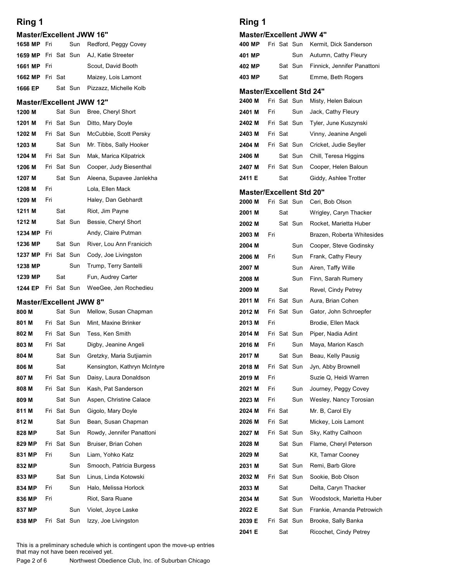| Ring 1                                  |     |             |             |                                             | Ring 1                          |     |         |                    |                                                |
|-----------------------------------------|-----|-------------|-------------|---------------------------------------------|---------------------------------|-----|---------|--------------------|------------------------------------------------|
| <b>Master/Excellent JWW 16"</b>         |     |             |             |                                             | <b>Master/Excellent JWW 4"</b>  |     |         |                    |                                                |
| 1658 MP Fri                             |     |             | Sun         | Redford, Peggy Covey                        | 400 MP                          |     |         | Fri Sat Sun        | Kermit, Dick Sanderson                         |
| 1659 MP Fri Sat Sun                     |     |             |             | AJ, Katie Streeter                          | 401 MP                          |     |         | Sun                | Autumn, Cathy Fleury                           |
| 1661 MP Fri                             |     |             |             | Scout, David Booth                          | 402 MP                          |     |         | Sat Sun            | Finnick, Jennifer Panattoni                    |
| 1662 MP Fri Sat                         |     |             |             | Maizey, Lois Lamont                         | 403 MP                          |     | Sat     |                    | Emme, Beth Rogers                              |
| 1666 EP                                 |     |             | Sat Sun     | Pizzazz, Michelle Kolb                      | <b>Master/Excellent Std 24"</b> |     |         |                    |                                                |
| <b>Master/Excellent JWW 12"</b>         |     |             |             |                                             | 2400 M                          |     |         | Fri Sat Sun        | Misty, Helen Baloun                            |
| 1200 M                                  |     | Fri Sat Sun | Sat Sun     | Bree, Cheryl Short                          | 2401 M                          | Fri |         | Sun<br>Fri Sat Sun | Jack, Cathy Fleury                             |
| 1201 M<br>1202 M                        |     | Fri Sat Sun |             | Ditto, Mary Doyle<br>McCubbie, Scott Persky | 2402 M<br>2403 M                |     | Fri Sat |                    | Tyler, June Kuszynski<br>Vinny, Jeanine Angeli |
| 1203 M                                  |     |             | Sat Sun     | Mr. Tibbs, Sally Hooker                     | 2404 M                          |     |         | Fri Sat Sun        | Cricket, Judie Seyller                         |
| 1204 M                                  |     |             | Fri Sat Sun | Mak, Marica Kilpatrick                      | 2406 M                          |     |         | Sat Sun            | Chill, Teresa Higgins                          |
| 1206 M                                  |     | Fri Sat Sun |             | Cooper, Judy Biesenthal                     | 2407 M                          |     |         | Fri Sat Sun        | Cooper, Helen Baloun                           |
| 1207 M                                  |     |             |             | Sat Sun Aleena, Supavee Janlekha            | 2411 E                          |     | Sat     |                    | Giddy, Ashlee Trotter                          |
| 1208 M                                  | Fri |             |             | Lola, Ellen Mack                            | <b>Master/Excellent Std 20"</b> |     |         |                    |                                                |
| 1209 M                                  | Fri |             |             | Haley, Dan Gebhardt                         | 2000 M                          |     |         | Fri Sat Sun        | Ceri, Bob Olson                                |
| 1211 M                                  |     | Sat         |             | Riot, Jim Payne                             | 2001 M                          |     | Sat     |                    | Wrigley, Caryn Thacker                         |
| 1212 M                                  |     |             | Sat Sun     | Bessie, Cheryl Short                        | 2002 M                          |     |         | Sat Sun            | Rocket, Marietta Huber                         |
| 1234 MP Fri                             |     |             |             | Andy, Claire Putman                         | 2003 M                          | Fri |         |                    | Brazen, Roberta Whitesides                     |
| 1236 MP                                 |     |             | Sat Sun     | River, Lou Ann Franicich                    | 2004 M                          |     |         | Sun                | Cooper, Steve Godinsky                         |
| 1237 MP                                 |     |             | Fri Sat Sun | Cody, Joe Livingston                        | 2006 M                          | Fri |         | Sun                | Frank, Cathy Fleury                            |
| 1238 MP<br>1239 MP                      |     | Sat         | Sun         | Trump, Terry Santelli<br>Fun, Audrey Carter | 2007 M                          |     |         | Sun                | Airen, Taffy Wille                             |
| 1244 EP                                 |     |             |             | Fri Sat Sun WeeGee, Jen Rochedieu           | 2008 M                          |     |         | Sun                | Finn, Sarah Rumery                             |
|                                         |     |             |             |                                             | 2009 M                          |     | Sat     | Fri Sat Sun        | Revel, Cindy Petrey                            |
| <b>Master/Excellent JWW 8"</b><br>800 M |     |             |             | Sat Sun Mellow, Susan Chapman               | 2011 M<br>2012 M                |     |         | Fri Sat Sun        | Aura, Brian Cohen<br>Gator, John Schroepfer    |
| 801 M                                   |     |             | Fri Sat Sun | Mint, Maxine Brinker                        | 2013 M                          | Fri |         |                    | Brodie, Ellen Mack                             |
| 802 M                                   |     | Fri Sat Sun |             | Tess, Ken Smith                             | 2014 M                          |     |         | Fri Sat Sun        | Piper, Nadia Adint                             |
| 803 M                                   |     | Fri Sat     |             | Digby, Jeanine Angeli                       | 2016 M                          | Fri |         | Sun                | Maya, Marion Kasch                             |
| 804 M                                   |     |             | Sat Sun     | Gretzky, Maria Sutjiamin                    | 2017 M                          |     |         | Sat Sun            | Beau, Kelly Pausig                             |
| 806 M                                   |     | Sat         |             | Kensington, Kathryn McIntyre                | 2018 M                          |     |         | Fri Sat Sun        | Jyn, Abby Brownell                             |
| 807 M                                   |     | Fri Sat Sun |             | Daisy, Laura Donaldson                      | 2019 M                          | Fri |         |                    | Suzie Q, Heidi Warren                          |
| 808 M                                   |     | Fri Sat Sun |             | Kash, Pat Sanderson                         | 2021 M                          | Fri |         | Sun                | Journey, Peggy Covey                           |
| 809 M                                   |     |             | Sat Sun     | Aspen, Christine Calace                     | 2023 M                          | Fri |         | Sun                | Wesley, Nancy Torosian                         |
| 811 M                                   |     |             | Fri Sat Sun | Gigolo, Mary Doyle                          | 2024 M                          |     | Fri Sat |                    | Mr. B, Carol Ely                               |
| 812 M                                   |     |             | Sat Sun     | Bean, Susan Chapman                         | 2026 M                          |     | Fri Sat |                    | Mickey, Lois Lamont                            |
| 828 MP                                  |     |             | Sat Sun     | Rowdy, Jennifer Panattoni                   | 2027 M                          |     |         | Fri Sat Sun        | Sky, Kathy Calhoon                             |
| 829 MP<br>831 MP                        | Fri | Fri Sat Sun | Sun         | Bruiser, Brian Cohen<br>Liam, Yohko Katz    | 2028 M<br>2029 M                |     | Sat     | Sat Sun            | Flame, Cheryl Peterson<br>Kit, Tamar Cooney    |
| 832 MP                                  |     |             | Sun         | Smooch, Patricia Burgess                    | 2031 M                          |     |         | Sat Sun            | Remi, Barb Glore                               |
| 833 MP                                  |     |             | Sat Sun     | Linus, Linda Kotowski                       | 2032 M                          |     |         | Fri Sat Sun        | Sookie, Bob Olson                              |
| 834 MP                                  | Fri |             | Sun         | Halo, Melissa Horlock                       | 2033 M                          |     | Sat     |                    | Delta, Caryn Thacker                           |
| 836 MP                                  | Fri |             |             | Riot, Sara Ruane                            | 2034 M                          |     |         | Sat Sun            | Woodstock, Marietta Huber                      |
| 837 MP                                  |     |             | Sun         | Violet, Joyce Laske                         | 2022 E                          |     |         | Sat Sun            | Frankie, Amanda Petrowich                      |
| 838 MP                                  |     |             |             | Fri Sat Sun Izzy, Joe Livingston            | 2039 E                          |     |         | Fri Sat Sun        | Brooke, Sally Banka                            |
|                                         |     |             |             |                                             | 2041 E                          |     | Sat     |                    | Ricochet, Cindy Petrey                         |

#### Master/Excellent JWW 4"

|                              | Ring 1                          |     |         |             |                                    |
|------------------------------|---------------------------------|-----|---------|-------------|------------------------------------|
| W 16"                        | <b>Master/Excellent JWW 4"</b>  |     |         |             |                                    |
| Redford, Peggy Covey         | 400 MP                          |     |         |             | Fri Sat Sun Kermit, Dick Sanderson |
| AJ, Katie Streeter           | 401 MP                          |     |         | Sun         | Autumn, Cathy Fleury               |
| Scout, David Booth           | 402 MP                          |     |         | Sat Sun     | Finnick, Jennifer Panattoni        |
| Maizey, Lois Lamont          | 403 MP                          |     | Sat     |             | Emme, Beth Rogers                  |
| Pizzazz, Michelle Kolb       | <b>Master/Excellent Std 24"</b> |     |         |             |                                    |
| W 12"                        | 2400 M                          |     |         | Fri Sat Sun | Misty, Helen Baloun                |
| Bree, Cheryl Short           | 2401 M                          | Fri |         | Sun         | Jack, Cathy Fleury                 |
| Ditto, Mary Doyle            | 2402 M                          |     |         | Fri Sat Sun | Tyler, June Kuszynski              |
| McCubbie, Scott Persky       | 2403 M                          |     | Fri Sat |             | Vinny, Jeanine Angeli              |
| Mr. Tibbs, Sally Hooker      | 2404 M                          |     |         | Fri Sat Sun | Cricket, Judie Seyller             |
| Mak, Marica Kilpatrick       | 2406 M                          |     |         | Sat Sun     | Chill, Teresa Higgins              |
| Cooper, Judy Biesenthal      | 2407 M                          |     |         | Fri Sat Sun | Cooper, Helen Baloun               |
| Aleena, Supavee Janlekha     | 2411 E                          |     | Sat     |             | Giddy, Ashlee Trotter              |
| Lola, Ellen Mack             | <b>Master/Excellent Std 20"</b> |     |         |             |                                    |
| Haley, Dan Gebhardt          | 2000 M                          |     |         | Fri Sat Sun | Ceri, Bob Olson                    |
| Riot, Jim Payne              | 2001 M                          |     | Sat     |             | Wrigley, Caryn Thacker             |
| Bessie, Cheryl Short         | 2002 M                          |     |         | Sat Sun     | Rocket, Marietta Huber             |
| Andy, Claire Putman          | 2003 M                          | Fri |         |             | Brazen, Roberta Whitesides         |
| River, Lou Ann Franicich     | 2004 M                          |     |         |             | Sun Cooper, Steve Godinsky         |
| Cody, Joe Livingston         | 2006 M                          | Fri |         | Sun         | Frank, Cathy Fleury                |
| Trump, Terry Santelli        | 2007 M                          |     |         | Sun         | Airen, Taffy Wille                 |
| Fun, Audrey Carter           | 2008 M                          |     |         | Sun         | Finn, Sarah Rumery                 |
| WeeGee, Jen Rochedieu        | 2009 M                          |     | Sat     |             | Revel, Cindy Petrey                |
| <b>W 8"</b>                  | 2011 M                          |     |         | Fri Sat Sun | Aura, Brian Cohen                  |
| Mellow, Susan Chapman        | 2012 M                          |     |         | Fri Sat Sun | Gator, John Schroepfer             |
| Mint, Maxine Brinker         | 2013 M                          | Fri |         |             | Brodie, Ellen Mack                 |
| Tess, Ken Smith              | 2014 M                          |     |         | Fri Sat Sun | Piper, Nadia Adint                 |
| Digby, Jeanine Angeli        | 2016 M                          | Fri |         | Sun         | Maya, Marion Kasch                 |
| Gretzky, Maria Sutjiamin     | 2017 M                          |     |         | Sat Sun     | Beau, Kelly Pausig                 |
| Kensington, Kathryn McIntyre | 2018 M                          |     |         | Fri Sat Sun | Jyn, Abby Brownell                 |
| Daisy, Laura Donaldson       | 2019 M                          | Fri |         |             | Suzie Q, Heidi Warren              |
| Kash, Pat Sanderson          | 2021 M                          | Fri |         | Sun         | Journey, Peggy Covey               |
| Aspen, Christine Calace      | 2023 M                          | Fri |         |             | Sun Wesley, Nancy Torosian         |
| Gigolo, Mary Doyle           | 2024 M                          |     | Fri Sat |             | Mr. B, Carol Ely                   |
| Bean, Susan Chapman          | 2026 M                          |     | Fri Sat |             | Mickey, Lois Lamont                |
| Rowdy, Jennifer Panattoni    | 2027 M                          |     |         | Fri Sat Sun | Sky, Kathy Calhoon                 |
| Bruiser, Brian Cohen         | 2028 M                          |     |         | Sat Sun     | Flame, Cheryl Peterson             |
| Liam, Yohko Katz             | 2029 M                          |     | Sat     |             | Kit, Tamar Cooney                  |
| Smooch, Patricia Burgess     | 2031 M                          |     |         | Sat Sun     | Remi, Barb Glore                   |
| Linus, Linda Kotowski        | 2032 M                          |     |         | Fri Sat Sun | Sookie, Bob Olson                  |
| Halo, Melissa Horlock        | 2033 M                          |     | Sat     |             | Delta, Caryn Thacker               |
| Riot, Sara Ruane             | 2034 M                          |     |         | Sat Sun     | Woodstock, Marietta Huber          |
| Violet, Joyce Laske          | 2022 E                          |     |         |             | Sat Sun Frankie, Amanda Petrowich  |
| Izzy, Joe Livingston         | 2039 E                          |     |         |             | Fri Sat Sun Brooke, Sally Banka    |
|                              | 2041 E                          |     | Sat     |             | Ricochet, Cindy Petrey             |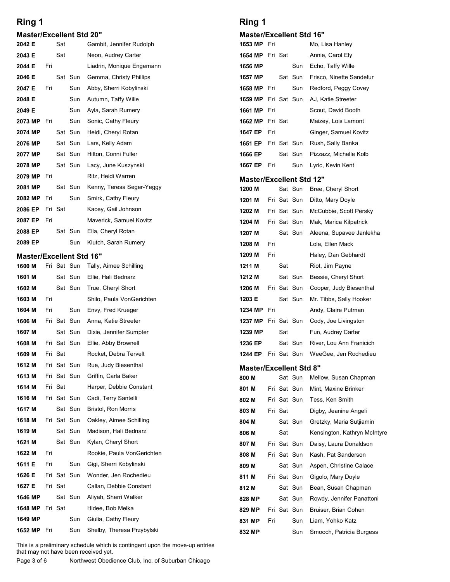#### Master/Excellent Std 20"

| Ring 1                                                                                                              |                                                       | Ring 1                                         |     |             |             |                                             |  |
|---------------------------------------------------------------------------------------------------------------------|-------------------------------------------------------|------------------------------------------------|-----|-------------|-------------|---------------------------------------------|--|
| <b>Master/Excellent Std 20"</b><br>Sat<br>2042 E                                                                    | Gambit, Jennifer Rudolph                              | <b>Master/Excellent Std 16"</b><br>1653 MP Fri |     |             |             | Mo, Lisa Hanley                             |  |
| 2043 E<br>Sat                                                                                                       | Neon, Audrey Carter                                   | 1654 MP Fri Sat                                |     |             |             | Annie, Carol Ely                            |  |
| 2044 E<br>Fri                                                                                                       | Liadrin, Monique Engemann                             | 1656 MP                                        |     |             | Sun         | Echo, Taffy Wille                           |  |
| 2046 E<br>Sat Sun                                                                                                   | Gemma, Christy Phillips                               | 1657 MP                                        |     |             | Sat Sun     | Frisco, Ninette Sandefur                    |  |
| 2047 E<br>Fri<br>Sun                                                                                                | Abby, Sherri Kobylinski                               | 1658 MP Fri                                    |     |             | Sun         | Redford, Peggy Covey                        |  |
| 2048 E<br>Sun                                                                                                       | Autumn, Taffy Wille                                   | 1659 MP                                        |     |             | Fri Sat Sun | AJ, Katie Streeter                          |  |
| 2049 E<br>Sun                                                                                                       | Ayla, Sarah Rumery                                    | 1661 MP Fri                                    |     |             |             | Scout, David Booth                          |  |
| 2073 MP<br>Fri<br>Sun                                                                                               | Sonic, Cathy Fleury                                   | 1662 MP                                        |     | Fri Sat     |             | Maizey, Lois Lamont                         |  |
| Sat Sun<br>2074 MP                                                                                                  | Heidi, Cheryl Rotan                                   | 1647 EP                                        | Fri |             |             | Ginger, Samuel Kovitz                       |  |
| Sat Sun<br>2076 MP                                                                                                  | Lars, Kelly Adam                                      | 1651 EP                                        |     |             | Fri Sat Sun | Rush, Sally Banka                           |  |
| Sat Sun<br>2077 MP                                                                                                  | Hilton, Conni Fuller                                  | 1666 EP                                        |     |             | Sat Sun     | Pizzazz, Michelle Kolb                      |  |
| Sat Sun<br>2078 MP<br>2079 MP Fri                                                                                   | Lacy, June Kuszynski<br>Ritz, Heidi Warren            | 1667 EP                                        | Fri |             | Sun         | Lyric, Kevin Kent                           |  |
| Sat Sun<br>2081 MP                                                                                                  | Kenny, Teresa Seger-Yeggy                             | <b>Master/Excellent Std 12"</b><br>1200 M      |     |             | Sat Sun     | Bree, Cheryl Short                          |  |
| Sun<br>Fri<br>2082 MP                                                                                               | Smirk, Cathy Fleury                                   | 1201 M                                         |     |             | Fri Sat Sun | Ditto, Mary Doyle                           |  |
| Fri Sat<br>2086 EP                                                                                                  | Kacey, Gail Johnson                                   | 1202 M                                         |     |             | Fri Sat Sun | McCubbie, Scott Persky                      |  |
| 2087 EP<br>Fri                                                                                                      | Maverick, Samuel Kovitz                               | 1204 M                                         |     |             | Fri Sat Sun | Mak, Marica Kilpatrick                      |  |
| Sat Sun<br>2088 EP                                                                                                  | Ella, Cheryl Rotan                                    | 1207 M                                         |     |             | Sat Sun     | Aleena, Supavee Janlekha                    |  |
| 2089 EP<br>Sun                                                                                                      | Klutch, Sarah Rumery                                  | 1208 M                                         | Fri |             |             | Lola, Ellen Mack                            |  |
| <b>Master/Excellent Std 16"</b>                                                                                     |                                                       | 1209 M                                         | Fri |             |             | Haley, Dan Gebhardt                         |  |
| 1600 M<br>Fri Sat Sun                                                                                               | Tally, Aimee Schilling                                | 1211 M                                         |     | Sat         |             | Riot, Jim Payne                             |  |
| 1601 M<br>Sat Sun                                                                                                   | Ellie, Hali Bednarz                                   | 1212 M                                         |     |             | Sat Sun     | Bessie, Cheryl Short                        |  |
| 1602 M<br>Sat Sun                                                                                                   | True, Cheryl Short                                    | 1206 M                                         |     | Fri Sat Sun |             | Cooper, Judy Biesenthal                     |  |
| 1603 M<br>Fri                                                                                                       | Shilo, Paula VonGerichten                             | 1203 E                                         |     |             | Sat Sun     | Mr. Tibbs, Sally Hooker                     |  |
| Sun<br>1604 M<br>Fri<br>Fri Sat Sun<br>1606 M                                                                       | Envy, Fred Krueger<br>Anna, Katie Streeter            | 1234 MP<br>1237 MP                             | Fri |             | Fri Sat Sun | Andy, Claire Putman<br>Cody, Joe Livingston |  |
| 1607 M<br>Sat Sun                                                                                                   | Dixie, Jennifer Sumpter                               | 1239 MP                                        |     | Sat         |             | Fun, Audrey Carter                          |  |
| Fri Sat Sun<br>1608 M                                                                                               | Ellie, Abby Brownell                                  | 1236 EP                                        |     |             | Sat Sun     | River, Lou Ann Franicich                    |  |
| 1609 M<br>Fri Sat                                                                                                   | Rocket, Debra Tervelt                                 | 1244 EP                                        |     |             | Fri Sat Sun | WeeGee, Jen Rochedieu                       |  |
| 1612 M<br>Fri Sat Sun                                                                                               | Rue, Judy Biesenthal                                  | <b>Master/Excellent Std 8"</b>                 |     |             |             |                                             |  |
| 1613 M<br>Fri Sat Sun                                                                                               | Griffin, Carla Baker                                  | 800 M                                          |     |             | Sat Sun     | Mellow, Susan Chapman                       |  |
| Fri Sat<br>1614 M                                                                                                   | Harper, Debbie Constant                               | 801 M                                          |     | Fri Sat Sun |             | Mint, Maxine Brinker                        |  |
| 1616 M<br>Fri Sat Sun                                                                                               | Cadi, Terry Santelli                                  | 802 M                                          |     | Fri Sat Sun |             | Tess, Ken Smith                             |  |
| 1617 M<br>Sat Sun                                                                                                   | Bristol, Ron Morris                                   | 803 M                                          |     | Fri Sat     |             | Digby, Jeanine Angeli                       |  |
| 1618 M<br>Fri Sat Sun                                                                                               | Oakley, Aimee Schilling                               | 804 M                                          |     |             | Sat Sun     | Gretzky, Maria Sutjiamin                    |  |
| 1619 M<br>Sat Sun                                                                                                   | Madison, Hali Bednarz                                 | 806 M                                          |     | Sat         |             | Kensington, Kathryn McIntyre                |  |
| Sat Sun<br>1621 M                                                                                                   | Kylan, Cheryl Short                                   | 807 M                                          |     |             | Fri Sat Sun | Daisy, Laura Donaldson                      |  |
| 1622 M<br>Fri<br>1611 E<br>Fri<br>Sun                                                                               | Rookie, Paula VonGerichten<br>Gigi, Sherri Kobylinski | 808 M                                          |     | Fri Sat Sun |             | Kash, Pat Sanderson                         |  |
| Fri Sat Sun<br>1626 E                                                                                               | Wonder, Jen Rochedieu                                 | 809 M<br>811 M                                 |     | Fri Sat Sun | Sat Sun     | Aspen, Christine Calace                     |  |
| 1627 E<br>Fri Sat                                                                                                   | Callan, Debbie Constant                               | 812 M                                          |     |             | Sat Sun     | Gigolo, Mary Doyle<br>Bean, Susan Chapman   |  |
| 1646 MP<br>Sat Sun                                                                                                  | Aliyah, Sherri Walker                                 | 828 MP                                         |     |             | Sat Sun     | Rowdy, Jennifer Panattoni                   |  |
| 1648 MP<br>Fri Sat                                                                                                  | Hidee, Bob Melka                                      | 829 MP                                         |     |             | Fri Sat Sun | Bruiser, Brian Cohen                        |  |
| 1649 MP<br>Sun                                                                                                      | Giulia, Cathy Fleury                                  | 831 MP                                         | Fri |             | Sun         | Liam, Yohko Katz                            |  |
| 1652 MP Fri<br>Sun                                                                                                  | Shelby, Theresa Przybylski                            | 832 MP                                         |     |             | Sun         | Smooch, Patricia Burgess                    |  |
| This is a preliminary schedule which is contingent upon the move-up entries<br>that may not have been received yet. |                                                       |                                                |     |             |             |                                             |  |

# Ring 1

#### Master/Excellent Std 16"

| Ring 1                          |     |             |             |                          |
|---------------------------------|-----|-------------|-------------|--------------------------|
| <b>Master/Excellent Std 16"</b> |     |             |             |                          |
| 1653 MP Fri                     |     |             |             | Mo, Lisa Hanley          |
| 1654 MP Fri Sat                 |     |             |             | Annie, Carol Ely         |
| 1656 MP                         |     |             | Sun         | Echo, Taffy Wille        |
| 1657 MP                         |     |             | Sat Sun     | Frisco, Ninette Sandefur |
| 1658 MP                         | Fri |             | Sun         | Redford, Peggy Covey     |
| 1659 MP                         |     |             | Fri Sat Sun | AJ, Katie Streeter       |
| 1661 MP                         | Fri |             |             | Scout, David Booth       |
| 1662 MP                         |     | Fri Sat     |             | Maizey, Lois Lamont      |
| 1647 EP                         | Fri |             |             | Ginger, Samuel Kovitz    |
| 1651 EP                         |     |             | Fri Sat Sun | Rush, Sally Banka        |
| 1666 EP                         |     |             | Sat Sun     | Pizzazz, Michelle Kolb   |
| 1667 EP                         | Fri |             | Sun         | Lyric, Kevin Kent        |
| <b>Master/Excellent Std 12"</b> |     |             |             |                          |
| 1200 M                          |     |             | Sat Sun     | Bree, Cheryl Short       |
| 1201 M                          |     | Fri Sat Sun |             | Ditto, Mary Doyle        |
| 1202 M                          |     | Fri Sat Sun |             | McCubbie, Scott Persky   |
| 1204 M                          |     |             | Fri Sat Sun | Mak, Marica Kilpatrick   |
| 1207 M                          |     |             | Sat Sun     | Aleena, Supavee Janlekha |
| 1208 M                          | Fri |             |             | Lola, Ellen Mack         |
| 1209 M                          | Fri |             |             | Haley, Dan Gebhardt      |
| 1211 M                          |     | Sat         |             | Riot, Jim Payne          |
| 1212 M                          |     |             | Sat Sun     | Bessie, Cheryl Short     |

| 1658 MP                         | Fri |             | Sun         | Redford, Peggy Covey         |
|---------------------------------|-----|-------------|-------------|------------------------------|
| 1659 MP                         |     | Fri Sat Sun |             | AJ, Katie Streeter           |
| 1661 MP                         | Fri |             |             | Scout, David Booth           |
| 1662 MP                         |     | Fri Sat     |             | Maizey, Lois Lamont          |
| 1647 EP                         | Fri |             |             | Ginger, Samuel Kovitz        |
| 1651 EP                         |     | Fri Sat Sun |             | Rush, Sally Banka            |
| 1666 EP                         |     |             | Sat Sun     | Pizzazz, Michelle Kolb       |
| 1667 EP                         | Fri |             | Sun         | Lyric, Kevin Kent            |
| <b>Master/Excellent Std 12"</b> |     |             |             |                              |
| 1200 M                          |     |             | Sat Sun     | Bree, Cheryl Short           |
| 1201 M                          |     | Fri Sat Sun |             | Ditto, Mary Doyle            |
| 1202 M                          |     | Fri Sat Sun |             | McCubbie, Scott Persky       |
| 1204 M                          |     |             | Fri Sat Sun | Mak, Marica Kilpatrick       |
| 1207 M                          |     |             | Sat Sun     | Aleena, Supavee Janlekha     |
| 1208 M                          | Fri |             |             | Lola, Ellen Mack             |
| 1209 M                          | Fri |             |             | Haley, Dan Gebhardt          |
| 1211 M                          |     | Sat         |             | Riot, Jim Payne              |
| 1212 M                          |     |             | Sat Sun     | Bessie, Cheryl Short         |
| 1206 M                          |     |             | Fri Sat Sun | Cooper, Judy Biesenthal      |
| 1203 E                          |     |             | Sat Sun     | Mr. Tibbs, Sally Hooker      |
| 1234 MP                         | Fri |             |             | Andy, Claire Putman          |
| 1237 MP                         |     | Fri Sat Sun |             | Cody, Joe Livingston         |
| 1239 MP                         |     | Sat         |             | Fun, Audrey Carter           |
| 1236 EP                         |     |             | Sat Sun     | River, Lou Ann Franicich     |
| 1244 EP                         |     | Fri Sat Sun |             | WeeGee, Jen Rochedieu        |
| <b>Master/Excellent Std 8"</b>  |     |             |             |                              |
| 800 M                           |     |             | Sat Sun     | Mellow, Susan Chapman        |
| 801 M                           |     | Fri Sat Sun |             | Mint, Maxine Brinker         |
| 802 M                           |     | Fri Sat Sun |             | Tess, Ken Smith              |
| 803 M                           |     | Fri Sat     |             | Digby, Jeanine Angeli        |
| 804 M                           |     |             | Sat Sun     | Gretzky, Maria Sutjiamin     |
| 806 M                           |     | Sat         |             | Kensington, Kathryn McIntyre |
| 807 M                           |     | Fri Sat Sun |             | Daisy, Laura Donaldson       |
| 808 M                           |     |             | Fri Sat Sun | Kash, Pat Sanderson          |
| 809 M                           |     |             | Sat Sun     | Aspen, Christine Calace      |
| 811 M                           |     |             | Fri Sat Sun | Gigolo, Mary Doyle           |
| 812 M                           |     |             | Sat Sun     | Bean, Susan Chapman          |

#### Master/Excellent Std 8" Sat Sun Mellow, Susan Chapman

| 1211 M                         |     | Sat         |             | Riot, Jim Payne              |
|--------------------------------|-----|-------------|-------------|------------------------------|
| 1212 M                         |     |             | Sat Sun     | Bessie, Cheryl Short         |
| 1206 M                         |     |             | Fri Sat Sun | Cooper, Judy Biesenthal      |
| 1203 E                         |     |             | Sat Sun     | Mr. Tibbs, Sally Hooker      |
| 1234 MP                        | Fri |             |             | Andy, Claire Putman          |
| 1237 MP                        |     | Fri Sat Sun |             | Cody, Joe Livingston         |
| 1239 MP                        |     | Sat         |             | Fun, Audrey Carter           |
| 1236 EP                        |     |             | Sat Sun     | River, Lou Ann Franicich     |
| 1244 EP                        |     | Fri Sat Sun |             | WeeGee, Jen Rochedieu        |
| <b>Master/Excellent Std 8"</b> |     |             |             |                              |
| 800 M                          |     |             | Sat Sun     | Mellow, Susan Chapman        |
| 801 M                          |     |             | Fri Sat Sun | Mint, Maxine Brinker         |
| 802 M                          |     |             | Fri Sat Sun | Tess, Ken Smith              |
| 803 M                          |     | Fri Sat     |             | Digby, Jeanine Angeli        |
| 804 M                          |     |             | Sat Sun     | Gretzky, Maria Sutjiamin     |
| 806 M                          |     | Sat         |             | Kensington, Kathryn McIntyre |
| 807 M                          |     | Fri Sat Sun |             | Daisy, Laura Donaldson       |
| 808 M                          |     |             | Fri Sat Sun | Kash, Pat Sanderson          |
| 809 M                          |     |             | Sat Sun     | Aspen, Christine Calace      |
| 811 M                          |     |             | Fri Sat Sun | Gigolo, Mary Doyle           |
| 812 M                          |     |             | Sat Sun     | Bean, Susan Chapman          |
| 828 MP                         |     |             | Sat Sun     | Rowdy, Jennifer Panattoni    |
| 829 MP                         |     |             | Fri Sat Sun | Bruiser, Brian Cohen         |
| 831 MP                         | Fri |             | Sun         | Liam, Yohko Katz             |
| 832 MP                         |     |             | Sun         | Smooch, Patricia Burgess     |
|                                |     |             |             |                              |
|                                |     |             |             |                              |

This is a preliminary schedule which is contingent upon the move-up entries that may not have been received yet.

Northwest Obedience Club, Inc. of Suburban Chicago Page 3 of 6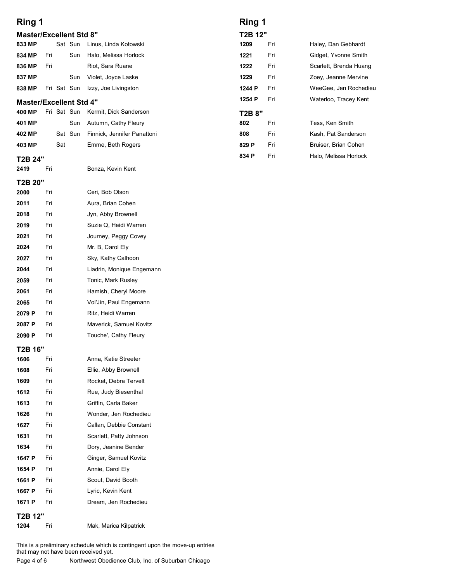# Ring 1

| Ring 1                                                                                     |     |             |             |                                |         | <b>Ring 1</b> |                        |  |  |  |  |
|--------------------------------------------------------------------------------------------|-----|-------------|-------------|--------------------------------|---------|---------------|------------------------|--|--|--|--|
|                                                                                            |     |             |             |                                |         |               |                        |  |  |  |  |
|                                                                                            |     |             |             | <b>Master/Excellent Std 8"</b> | T2B 12" |               |                        |  |  |  |  |
|                                                                                            |     |             | Sat Sun     | Linus, Linda Kotowski          | 1209    | Fri           | Haley, Dan Gebhardt    |  |  |  |  |
|                                                                                            | Fri |             | Sun         | Halo, Melissa Horlock          | 1221    | Fri           | Gidget, Yvonne Smith   |  |  |  |  |
|                                                                                            | Fri |             |             | Riot, Sara Ruane               | 1222    | Fri           | Scarlett, Brenda Huang |  |  |  |  |
|                                                                                            |     |             | Sun         | Violet, Joyce Laske            | 1229    | Fri           | Zoey, Jeanne Mervine   |  |  |  |  |
|                                                                                            |     |             | Fri Sat Sun | Izzy, Joe Livingston           | 1244 P  | Fri           | WeeGee, Jen Rochedieu  |  |  |  |  |
|                                                                                            |     |             |             |                                | 1254 P  | Fri           | Waterloo, Tracey Kent  |  |  |  |  |
| 833 MP<br>834 MP<br>836 MP<br>837 MP<br>838 MP<br><b>Master/Excellent Std 4"</b><br>400 MP |     | Fri Sat Sun |             | Kermit, Dick Sanderson         | T2B 8"  |               |                        |  |  |  |  |
| 401 MP                                                                                     |     |             | Sun         | Autumn, Cathy Fleury           | 802     | Fri           | Tess, Ken Smith        |  |  |  |  |
| 402 MP                                                                                     |     |             | Sat Sun     | Finnick, Jennifer Panattoni    | 808     | Fri           | Kash, Pat Sanderson    |  |  |  |  |
| 403 MP                                                                                     |     | Sat         |             | Emme, Beth Rogers              | 829 P   | Fri           | Bruiser, Brian Cohen   |  |  |  |  |
|                                                                                            |     |             |             |                                | 834 P   | Fri           | Halo, Melissa Horlock  |  |  |  |  |
| T2B 24"<br>2419                                                                            | Fri |             |             | Bonza, Kevin Kent              |         |               |                        |  |  |  |  |

### T2B 24"

### T2B 20"

| 2000   | Fri | Ceri, Bob Olson           |
|--------|-----|---------------------------|
| 2011   | Fri | Aura, Brian Cohen         |
| 2018   | Fri | Jyn, Abby Brownell        |
| 2019   | Fri | Suzie Q, Heidi Warren     |
| 2021   | Fri | Journey, Peggy Covey      |
| 2024   | Fri | Mr. B, Carol Ely          |
| 2027   | Fri | Sky, Kathy Calhoon        |
| 2044   | Fri | Liadrin, Monique Engemann |
| 2059   | Fri | Tonic, Mark Rusley        |
| 2061   | Fri | Hamish, Cheryl Moore      |
| 2065   | Fri | Vol'Jin, Paul Engemann    |
| 2079 P | Fri | Ritz, Heidi Warren        |
| 2087 P | Fri | Maverick, Samuel Kovitz   |
| 2090 P | Fri | Touche', Cathy Fleury     |
|        |     |                           |

#### T2B 16"

| 1606                 | Fri | Anna, Katie Streeter    |
|----------------------|-----|-------------------------|
| 1608                 | Fri | Ellie, Abby Brownell    |
| 1609                 | Fri | Rocket, Debra Tervelt   |
| 1612                 | Fri | Rue, Judy Biesenthal    |
| 1613                 | Fri | Griffin, Carla Baker    |
| 1626                 | Fri | Wonder, Jen Rochedieu   |
| 1627                 | Fri | Callan, Debbie Constant |
| 1631                 | Fri | Scarlett, Patty Johnson |
| 1634                 | Fri | Dory, Jeanine Bender    |
| 1647 P               | Fri | Ginger, Samuel Kovitz   |
| 1654 P               | Fri | Annie, Carol Ely        |
| 1661 P               | Fri | Scout, David Booth      |
| 1667 P               | Fri | Lyric, Kevin Kent       |
| 1671 P               | Fri | Dream, Jen Rochedieu    |
| T <sub>2</sub> B 12" |     |                         |
| 1204                 | Fri | Mak, Marica Kilpatrick  |

This is a preliminary schedule which is contingent upon the move-up entries that may not have been received yet.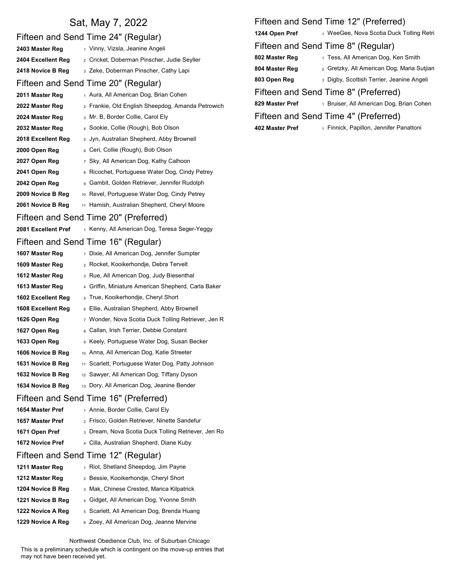|                     | Sat, May 7, 2022                                    |                 | Fifteen and Send Time 12" (Preferred)              |
|---------------------|-----------------------------------------------------|-----------------|----------------------------------------------------|
|                     | Fifteen and Send Time 24" (Regular)                 | 1244 Open Pref  | 1 WeeGee, Nova Scotia Duck Tolling Retri           |
| 2403 Master Reg     | 1 Vinny, Vizsla, Jeanine Angeli                     |                 | Fifteen and Send Time 8" (Regular)                 |
| 2404 Excellent Reg  | 2 Cricket, Doberman Pinscher, Judie Seyller         | 802 Master Reg  | 1 Tess, All American Dog, Ken Smith                |
| 2418 Novice B Reg   | 3 Zeke, Doberman Pinscher, Cathy Lapi               | 804 Master Reg  | 2 Gretzky, All American Dog, Maria Sutjian         |
|                     | Fifteen and Send Time 20" (Regular)                 | 803 Open Reg    | 3 Digby, Scottish Terrier, Jeanine Angeli          |
| 2011 Master Reg     | 1 Aura, All American Dog, Brian Cohen               |                 | Fifteen and Send Time 8" (Preferred)               |
| 2022 Master Reg     | 2 Frankie, Old English Sheepdog, Amanda Petrowich   | 829 Master Pref | 1 Bruiser, All American Dog, Brian Cohen           |
| 2024 Master Reg     | 3 Mr. B, Border Collie, Carol Ely                   |                 | Fifteen and Send Time 4" (Preferred)               |
| 2032 Master Reg     | 4 Sookie, Collie (Rough), Bob Olson                 | 402 Master Pref | <sub>1</sub> Finnick, Papillon, Jennifer Panattoni |
| 2018 Excellent Reg  | 5 Jyn, Australian Shepherd, Abby Brownell           |                 |                                                    |
| 2000 Open Reg       | 6 Ceri, Collie (Rough), Bob Olson                   |                 |                                                    |
| 2027 Open Reg       | 7 Sky, All American Dog, Kathy Calhoon              |                 |                                                    |
| 2041 Open Reg       | 8 Ricochet, Portuguese Water Dog, Cindy Petrey      |                 |                                                    |
| 2042 Open Reg       | 9 Gambit, Golden Retriever, Jennifer Rudolph        |                 |                                                    |
| 2009 Novice B Reg   | 10 Revel, Portuguese Water Dog, Cindy Petrey        |                 |                                                    |
| 2061 Novice B Reg   | 11 Hamish, Australian Shepherd, Cheryl Moore        |                 |                                                    |
|                     | Fifteen and Send Time 20" (Preferred)               |                 |                                                    |
| 2081 Excellent Pref | 1 Kenny, All American Dog, Teresa Seger-Yeggy       |                 |                                                    |
|                     | Fifteen and Send Time 16" (Regular)                 |                 |                                                    |
| 1607 Master Reg     | 1 Dixie, All American Dog, Jennifer Sumpter         |                 |                                                    |
| 1609 Master Reg     | 2 Rocket, Kooikerhondje, Debra Tervelt              |                 |                                                    |
| 1612 Master Reg     | 3 Rue, All American Dog, Judy Biesenthal            |                 |                                                    |
| 1613 Master Reg     | 4 Griffin, Miniature American Shepherd, Carla Baker |                 |                                                    |
| 1602 Excellent Reg  | 5 True, Kooikerhondje, Cheryl Short                 |                 |                                                    |
| 1608 Excellent Reg  | 6 Ellie, Australian Shepherd, Abby Brownell         |                 |                                                    |
| 1626 Open Reg       | 7 Wonder, Nova Scotia Duck Tolling Retriever, Jen R |                 |                                                    |
| 1627 Open Reg       | Callan, Irish Terrier, Debbie Constant              |                 |                                                    |
| 1633 Open Reg       | 9 Keely, Portuguese Water Dog, Susan Becker         |                 |                                                    |
| 1606 Novice B Reg   | 10 Anna, All American Dog, Katie Streeter           |                 |                                                    |
| 1631 Novice B Reg   | 11 Scarlett, Portuguese Water Dog, Patty Johnson    |                 |                                                    |
| 1632 Novice B Reg   | 12 Sawyer, All American Dog, Tiffany Dyson          |                 |                                                    |
| 1634 Novice B Reg   | 13 Dory, All American Dog, Jeanine Bender           |                 |                                                    |
|                     | Fifteen and Send Time 16" (Preferred)               |                 |                                                    |
| 1654 Master Pref    | 1 Annie, Border Collie, Carol Ely                   |                 |                                                    |
| 1657 Master Pref    | 2 Frisco, Golden Retriever, Ninette Sandefur        |                 |                                                    |
| 1671 Open Pref      | 3 Dream, Nova Scotia Duck Tolling Retriever, Jen Ro |                 |                                                    |
| 1672 Novice Pref    | 4 Cilla, Australian Shepherd, Diane Kuby            |                 |                                                    |
|                     | Fifteen and Send Time 12" (Regular)                 |                 |                                                    |
| 1211 Master Reg     | 1 Riot, Shetland Sheepdog, Jim Payne                |                 |                                                    |
| 1212 Master Reg     | 2 Bessie, Kooikerhondje, Cheryl Short               |                 |                                                    |
| 1204 Novice B Reg   | 3 Mak, Chinese Crested, Marica Kilpatrick           |                 |                                                    |
| 1221 Novice B Reg   | 4 Gidget, All American Dog, Yvonne Smith            |                 |                                                    |
| 1222 Novice A Reg   | 5 Scarlett, All American Dog, Brenda Huang          |                 |                                                    |
| 1229 Novice A Reg   | 6 Zoey, All American Dog, Jeanne Mervine            |                 |                                                    |

# Fifteen and Send Time 12" (Preferred)

### Fifteen and Send Time 8" (Regular)

- 
- 829 Master Pref 1 Bruiser, All American Dog, Brian Cohen

Northwest Obedience Club, Inc. of Suburban Chicago

This is a preliminary schedule which is contingent on the move-up entries that may not have been received yet.